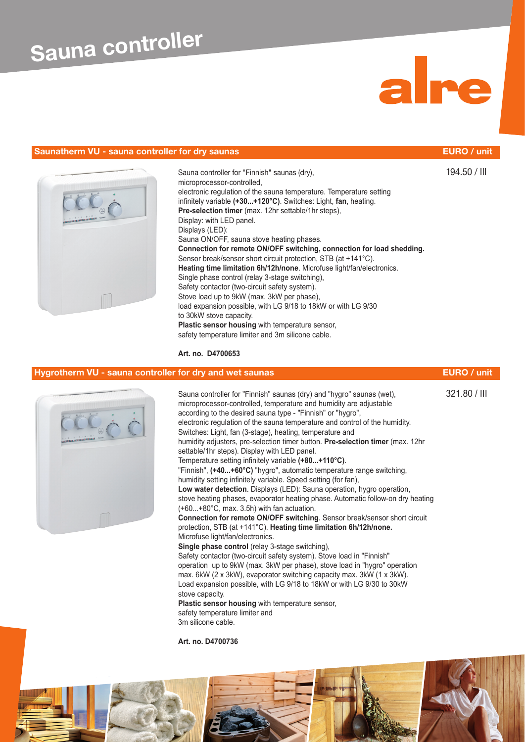## **Saunatherm VU - sauna controller for dry saunas EURO / unit**





Sauna controller for "Finnish" saunas (dry), 194.50 / III microprocessor-controlled, electronic regulation of the sauna temperature. Temperature setting infinitely variable **(+30...+120°C)**. Switches: Light, **fan**, heating. **Pre-selection timer** (max. 12hr settable/1hr steps), Display: with LED panel. Displays (LED): Sauna ON/OFF, sauna stove heating phases. **Connection for remote ON/OFF switching, connection for load shedding.** Sensor break/sensor short circuit protection. STB (at +141°C). **Heating time limitation 6h/12h/none**. Microfuse light/fan/electronics. Single phase control (relay 3-stage switching), Safety contactor (two-circuit safety system). Stove load up to 9kW (max. 3kW per phase), load expansion possible, with LG 9/18 to 18kW or with LG 9/30 to 30kW stove capacity. **Plastic sensor housing** with temperature sensor, safety temperature limiter and 3m silicone cable.

## **Art. no. D4700653**

# **Hygrotherm VU - sauna controller for dry and wet saunas <b>EURO / unit EURO** / unit

Sauna controller for "Finnish" saunas (dry) and "hygro" saunas (wet), 321.80 / III microprocessor-controlled, temperature and humidity are adjustable according to the desired sauna type - "Finnish" or "hygro", electronic regulation of the sauna temperature and control of the humidity. Switches: Light, fan (3-stage), heating, temperature and humidity adjusters, pre-selection timer button. **Pre-selection timer** (max. 12hr settable/1hr steps). Display with LED panel. Temperature setting infinitely variable **(+80...+110°C)**. "Finnish", **(+40...+60°C)** "hygro", automatic temperature range switching, humidity setting infinitely variable. Speed setting (for fan), **Low water detection**. Displays (LED): Sauna operation, hygro operation, stove heating phases, evaporator heating phase. Automatic follow-on dry heating (+60...+80°C, max. 3.5h) with fan actuation. **Connection for remote ON/OFF switching**. Sensor break/sensor short circuit protection, STB (at +141°C). **Heating time limitation 6h/12h/none.** Microfuse light/fan/electronics. **Single phase control** (relay 3-stage switching), Safety contactor (two-circuit safety system). Stove load in "Finnish" operation up to 9kW (max. 3kW per phase), stove load in "hygro" operation max. 6kW (2 x 3kW), evaporator switching capacity max. 3kW (1 x 3kW). Load expansion possible, with LG 9/18 to 18kW or with LG 9/30 to 30kW stove capacity. **Plastic sensor housing** with temperature sensor, safety temperature limiter and 3m silicone cable.

**Art. no. D4700736**